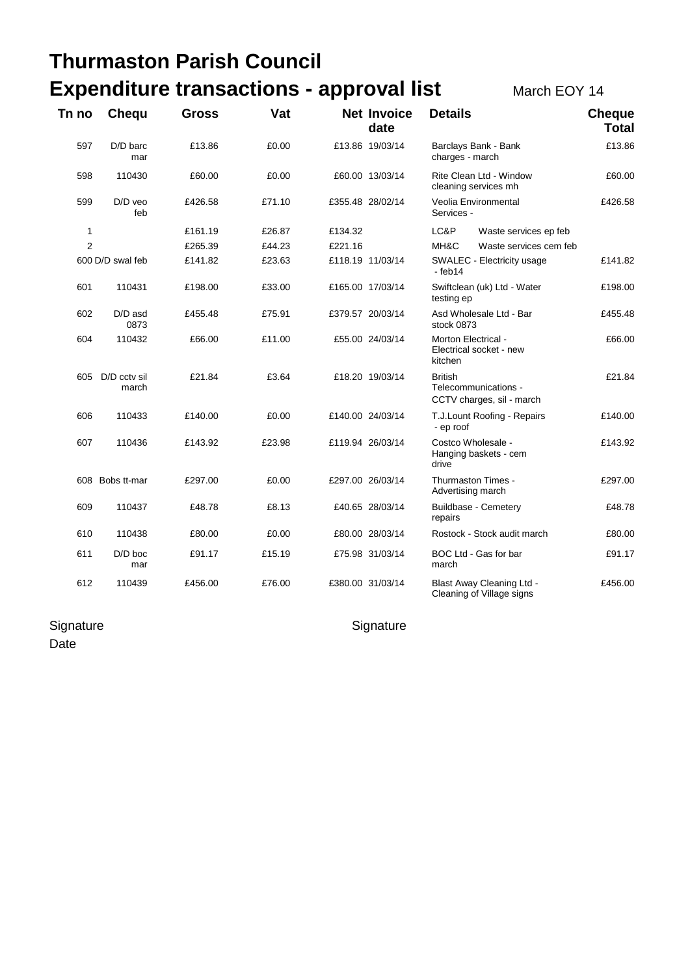## **Thurmaston Parish Council Expenditure transactions - approval list March EOY 14**

| Tn no            | Chequ                     | Gross   | Vat    |         | <b>Net Invoice</b><br>date | <b>Details</b>                                                      | <b>Cheque</b><br><b>Total</b> |
|------------------|---------------------------|---------|--------|---------|----------------------------|---------------------------------------------------------------------|-------------------------------|
| 597              | $D/D$ barc<br>mar         | £13.86  | £0.00  |         | £13.86 19/03/14            | Barclays Bank - Bank<br>charges - march                             | £13.86                        |
| 598              | 110430                    | £60.00  | £0.00  |         | £60.00 13/03/14            | Rite Clean Ltd - Window<br>cleaning services mh                     | £60.00                        |
| 599              | D/D veo<br>feb            | £426.58 | £71.10 |         | £355.48 28/02/14           | Veolia Environmental<br>Services -                                  | £426.58                       |
| 1                |                           | £161.19 | £26.87 | £134.32 |                            | LC&P<br>Waste services ep feb                                       |                               |
| $\overline{2}$   |                           | £265.39 | £44.23 | £221.16 |                            | MH&C<br>Waste services cem feb                                      |                               |
| 600 D/D swal feb |                           | £141.82 | £23.63 |         | £118.19 11/03/14           | SWALEC - Electricity usage<br>- feb14                               | £141.82                       |
| 601              | 110431                    | £198.00 | £33.00 |         | £165.00 17/03/14           | Swiftclean (uk) Ltd - Water<br>testing ep                           | £198.00                       |
| 602              | D/D asd<br>0873           | £455.48 | £75.91 |         | £379.57 20/03/14           | Asd Wholesale Ltd - Bar<br>stock 0873                               | £455.48                       |
| 604              | 110432                    | £66.00  | £11.00 |         | £55.00 24/03/14            | Morton Electrical -<br>Electrical socket - new<br>kitchen           | £66.00                        |
|                  | 605 D/D cctv sil<br>march | £21.84  | £3.64  |         | £18.20 19/03/14            | <b>British</b><br>Telecommunications -<br>CCTV charges, sil - march | £21.84                        |
| 606              | 110433                    | £140.00 | £0.00  |         | £140.00 24/03/14           | T.J.Lount Roofing - Repairs<br>- ep roof                            | £140.00                       |
| 607              | 110436                    | £143.92 | £23.98 |         | £119.94 26/03/14           | Costco Wholesale -<br>Hanging baskets - cem<br>drive                | £143.92                       |
|                  | 608 Bobs tt-mar           | £297.00 | £0.00  |         | £297.00 26/03/14           | Thurmaston Times -<br>Advertising march                             | £297.00                       |
| 609              | 110437                    | £48.78  | £8.13  |         | £40.65 28/03/14            | Buildbase - Cemetery<br>repairs                                     | £48.78                        |
| 610              | 110438                    | £80.00  | £0.00  |         | £80.00 28/03/14            | Rostock - Stock audit march                                         | £80.00                        |
| 611              | $D/D$ boc<br>mar          | £91.17  | £15.19 |         | £75.98 31/03/14            | BOC Ltd - Gas for bar<br>march                                      | £91.17                        |
| 612              | 110439                    | £456.00 | £76.00 |         | £380.00 31/03/14           | Blast Away Cleaning Ltd -<br>Cleaning of Village signs              | £456.00                       |

## Signature **Signature** Signature Signature

Date